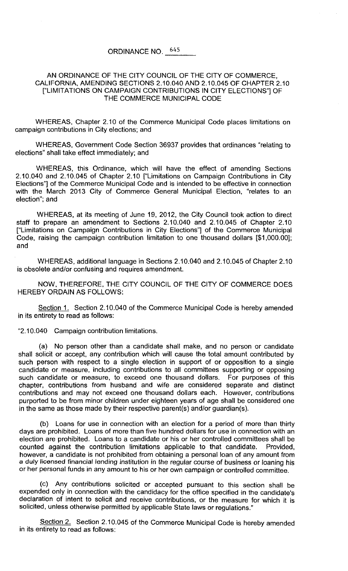## ORDINANCE NO. 645

## AN ORDINANCE OF THE CITY COUNCIL OF THE CITY OF COMMERCE, CALIFORNIA, AMENDING SECTIONS 2.10.040 AND 2.10.045 OF CHAPTER 2.10 ["LIMITATIONS ON CAMPAIGN CONTRIBUTIONS IN CITY ELECTIONS"] OF THE COMMERCE MUNICIPAL CODE

WHEREAS, Chapter 2.10 of the Commerce Municipal Code places limitations on campaign contributions in City elections; and

WHEREAS, Government Code Section 36937 provides that ordinances "relating to elections" shall take effect immediately; and

WHEREAS, this Ordinance, which will have the effect of amending Sections 2.10.040 and 2.10.045 of Chapter 2.10 ["Limitations on Campaign Contributions in City Elections"] of the Commerce Municipal Code and is intended to be effective in connection with the March 2013 City of Commerce General Municipal Election, "relates to an election"; and

WHEREAS, at its meeting of June 19,2012, the City Council took action to direct staff to prepare an amendment to Sections 2.10.040 and 2.10.045 of Chapter 2.10 ["Limitations on Campaign Contributions in City Elections"] of the Commerce Municipal Code, raising the campaign contribution limitation to one thousand dollars [\$1,000.00]; and

WHEREAS, additional language in Sections 2.10.040 and 2.10.045 of Chapter 2.10 is obsolete and/or confusing and requires amendment.

NOW, THEREFORE, THE CITY COUNCIL OF THE CITY OF COMMERCE DOES HEREBY ORDAIN AS FOLLOWS:

Section 1. Section 2.10.040 of the Commerce Municipal Code is hereby amended in its entirety to read as follows:

"2.10.040 Campaign contribution limitations.

(a) No person other than a candidate shall make, and no person or candidate shall solicit or accept, any contribution which will cause the total amount contributed by such person with respect to a single election in support of or opposition to a single candidate or measure, including contributions to all committees supporting or opposing such candidate or measure, to exceed one thousand dollars. For purposes of this chapter, contributions from husband and wife are considered separate and distinct contributions and may not exceed one thousand dollars each. However, contributions purported to be from minor children under eighteen years of age shall be considered one in the same as those made by their respective parent(s) and/or guardian(s).

(b) Loans for use in connection with an election for a period of more than thirty days are prohibited. Loans of more than five hundred dollars for use in connection with an election are prohibited. Loans to a candidate or his or her controlled committees shall be counted against the contribution limitations applicable to that candidate. Provided, however, a candidate is not prohibited from obtaining a personal loan of any amount from a duly licensed financial lending institution in the regular course of business or loaning his or her personal funds in any amount to his or her own campaign or controlled committee.

(c) Any contributions solicited or accepted pursuant to this section shall be expended only in connection with the candidacy for the office specified in the candidate's declaration of intent to solicit and receive contributions, or the measure for which it is solicited, unless otherwise permitted by applicable State laws or regulations."

Section 2. Section 2.10.045 of the Commerce Municipal Code is hereby amended in its entirety to read as follows: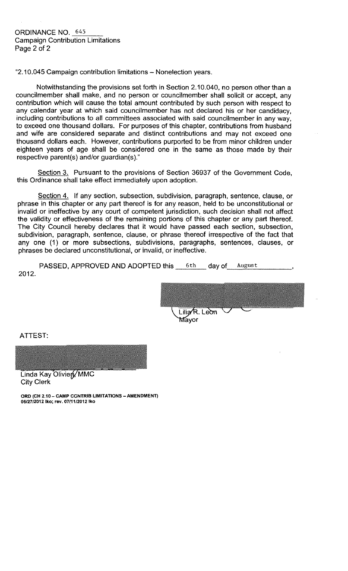"2.10.045 Campaign contribution limitations - Nonelection years.

Notwithstanding the provisions set forth in Section 2.10.040, no person other than a councilmember shall make, and no person or councilmember shall solicit or accept, any contribution which will cause the total amount contributed by such person with respect to any calendar year at which said councilmember has not declared his or her candidacy, including contributions to all committees associated with said councilmember in any way, to exceed one thousand dollars. For purposes of this chapter, contributions from husband and wife are considered separate and distinct contributions and may not exceed one thousand dollars each. However, contributions purported to be from minor children under eighteen years of age shall be considered one in the same as those made by their respective parent(s) and/or guardian(s)."

Section 3. Pursuant to the provisions of Section 36937 of the Government Code, this Ordinance shall take effect immediately upon adoption.

Section 4. If any section, subsection, subdivision, paragraph, sentence, clause, or phrase in this chapter or any part thereof is for any reason, held to be unconstitutional or invalid or ineffective by any court of competent jurisdiction, such decision shall not affect the validity or effectiveness of the remaining portions of this chapter or any part thereof. The City Council hereby declares that it would have passed each section, subsection, subdivision, paragraph, sentence, clause, or phrase thereof irrespective of the fact that any one (1) or more subsections, subdivisions, paragraphs, sentences, clauses, or phrases be declared unconstitutional, or invalid, or ineffective.

PASSED, APPROVED AND ADOPTED this 6th day of August 2012.

Lilia<sub>R</sub>. Leon Máyor

ATTEST:

Linda Kay Oliviery MMC **City Clerk** 

ORD (CH 2.10 - CAMP CONTRIB LIMITATIONS - AMENDMENT) 06/27/2012 lko; rev. 07/11/2012 lko